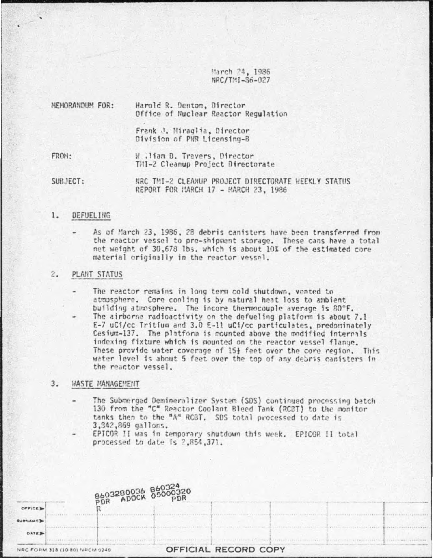March 24, 1986 NRC/TMI-86-027

| NEMORANDUM FOR: | Harold R. Denton, Director<br>Office of Nuclear Reactor Regulation |
|-----------------|--------------------------------------------------------------------|
|                 | Frank J. Hiraglia, Director<br>Division of PMR Licensing-B         |
| FRON:           | W.liam D. Travers, Director<br>TMI-2 Cleanup Project Directorate   |

SUBJECT: NRC TMI-2 CLEANUP PROJECT DIRECTORATE WEEKLY STATUS REPORT FOR MARCH 17 - MARCH 23, 1986

#### $1.$ DEFUELING

As of March 23, 1986, 28 debris canisters have been transferred from the reactor vessel to pre-shipment storage. These cans have a total net weight of 30,678 lbs. which is about 10% of the estimated core material originally in the reactor vessel.

## 2. PLANT STATUS

The reactor remains in long term cold shutdown, vented to atmosphere. Core cooling is by natural heat loss to ambient building atmosphere. The incore thermocouple average is 80°F.

The airborne radioactivity on the defueling platform is about 7.1 E-7 uCi/cc Tritium and 3.0 E-11 uCi/cc particulates, predominately Cesium-137. The platform is mounted above the modified internals indexing fixture which is mounted on the reactor vessel flange. These provide water coverage of 15} feet over the core region. This water level is about 5 feet over the top of any debris canisters in the reactor vessel.

## $3.$ WASTE MANAGEMENT

- The Submerged Demineralizer System (SDS) continued processing batch 130 from the "C" Reactor Coolant Bleed Tank (RCBT) to the monitor tanks then to the "A" RCBT. SDS total processed to date is 3,342,869 gallons.
- EPICOR II was in temporary shutdown this week. EPICOR II total processed to date is 2.854.371.

|                                | B603280036 860324<br>PDR ADOCK 05000320                                                                                                                                                                                        |                      |  |  |
|--------------------------------|--------------------------------------------------------------------------------------------------------------------------------------------------------------------------------------------------------------------------------|----------------------|--|--|
|                                |                                                                                                                                                                                                                                |                      |  |  |
|                                |                                                                                                                                                                                                                                |                      |  |  |
| <b>DATE</b>                    |                                                                                                                                                                                                                                |                      |  |  |
| NRC FORM 318 (10-80) NRCM 0240 | THE ENVIRONMENT OF THE CONTRACTOR OF THE CONTRACTOR OF THE CONTRACTOR OF THE CONTRACTOR OF THE CONTRACTOR OF THE CONTRACTOR OF THE CONTRACTOR OF THE CONTRACTOR OF THE CONTRACTOR OF THE CONTRACTOR OF THE CONTRACTOR OF THE C | OFFICIAL RECORD COPY |  |  |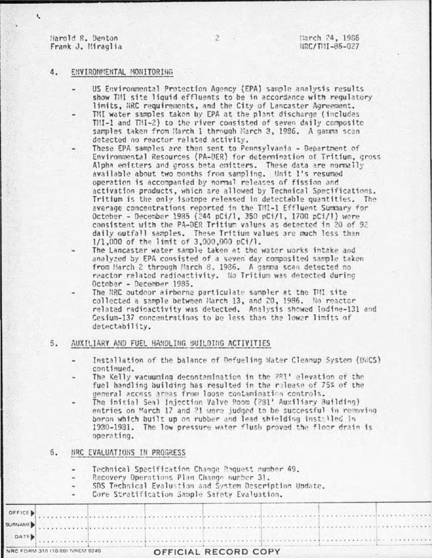Harold R. Denton Frank J. Miraglia

 $\mathfrak{t}$ 

## ENVIRONMENTAL MONITORING 4.

- US Environmental Protection Agency (EPA) sample analysis results show TMI site liquid effluents to be in accordance with requlatory limits. NRC requirements, and the City of Lancaster Agreement.
- TMI water samples taken by EPA at the plant discharge (includes TMI-1 and TMI-2) to the river consisted of seven daily composite samples taken from March 1 through Narch 3, 1986. A gamma scan detected no reactor related activity.
- These EPA samples are then sent to Pennsylvania Department of Environmental Resources (PA-DER) for determination of Tritium, gross Alpha emitters and gross beta emitters. These data are normally available about two months from sampling. Unit 1's resumed operation is accompanied by normal releases of fission and activation products, which are allowed by Technical Specifications. Tritium is the only isotope released in detectable quantities. The average concentrations reported in the TMI-1 Effluent Summary for October - December 1985 (244 pCi/l, 350 pCi/l, 1700 pCi/l) were consistent with the PA-DER Tritium values as detected in 20 of 92 daily outfall samples. These Tritium values are much less than 1/1,000 of the limit of 3,000,000 pCi/l.
- The Lancaster water sample taken at the water works intake and analyzed by EPA consisted of a seven day composited sample taken from Harch 2 through March 8. 1986. A gamma scan detected no reactor related radioactivity. No Tritium was detected during October - December 1985.
- The NRC outdoor airborne particulate sampler at the THI site collected a sample between March 13, and 20, 1986. No reactor related radioactivity was detected. Analysis showed lodine-131 and Cesium-137 concentrations to be less than the lower limits of detectability.
- 5. AUXILIARY AND FUEL HANDLING BUILDING ACTIVITIES
	- Installation of the balance of Defueling Water Cleanup System (DWCS) continued.
	- The Kelly vacuuming decontamination in the 281' elevation of the fuel handling building has resulted in the release of 75% of the general access areas from loose contamination controls.
	- The initial Seal Injection Valve Room (281' Auxiliary Building) entries on March 17 and 21 were judged to be successful in removing boron which built up on rubber and lead shielding installed in 1930-1931. The low pressure water flush proved the floor drain is operating.
- $6.$ NRC EVALUATIONS IN PROGRESS

|s

Technical Specification Change Request number 49.

- Recovery Operations Plan Change number 31.
- SDS Technical Evaluation and System Description Undate.
- Core Stratification Sample Safety Evaluation.

|  |  |  | OFFICE ) |
|--|--|--|----------|

 $\overline{c}$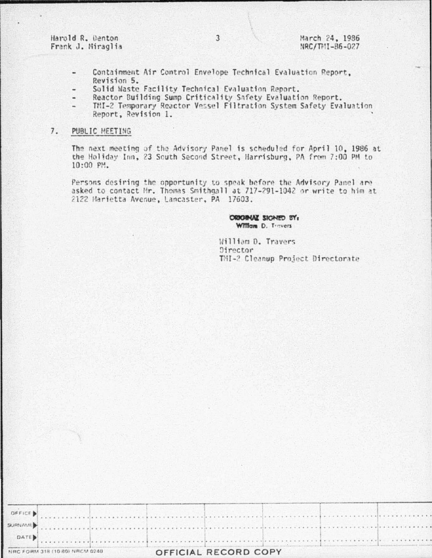Harold R. Denton Frank J. Miraglia

- Containment Air Control Envelope Technical Evaluation Report. Revision 5.
- Solid Waste Facility Technical Evaluation Report.
- Reactor Building Sump Criticality Safety Evaluation Report. a.
- TMI-2 Temporary Reactor Vessel Filtration System Safety Evaluation Report, Revision 1.

#### $7.$ PUBLIC MEETING

The next meeting of the Advisory Panel is scheduled for April 10, 1986 at the Holiday Inn, 23 South Second Street, Harrisburg, PA from 7:00 PM to 10:00 PM.

Persons desiring the opportunity to speak before the Advisory Panel are asked to contact Hr. Thomas Smithgall at 717-291-1042 or write to him at 2122 Marietta Avenue, Lancaster, PA 17603.

# ORIGINAL SIGNED BY: William D. Travers

William D. Travers Director TMI-2 Cleanup Project Directorate

| OFFICE  |                                |  |                      |  |
|---------|--------------------------------|--|----------------------|--|
| SURNAME |                                |  |                      |  |
| DATE    |                                |  |                      |  |
|         | NRC FORM 318 (10 80) NRCM 0240 |  | OFFICIAL RECORD COPY |  |